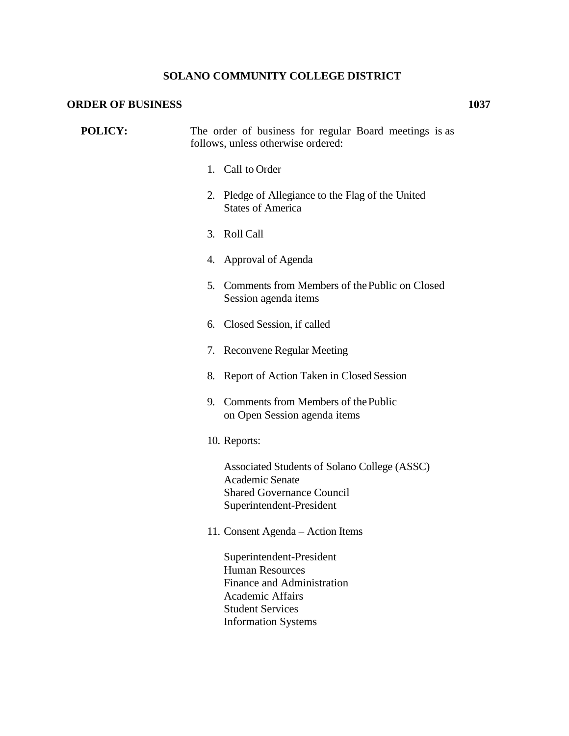## **SOLANO COMMUNITY COLLEGE DISTRICT**

## **ORDER OF BUSINESS 1037**

| <b>POLICY:</b> | The order of business for regular Board meetings is as<br>follows, unless otherwise ordered:                                                  |
|----------------|-----------------------------------------------------------------------------------------------------------------------------------------------|
|                | 1. Call to Order                                                                                                                              |
|                | 2. Pledge of Allegiance to the Flag of the United<br><b>States of America</b>                                                                 |
|                | 3. Roll Call                                                                                                                                  |
|                | 4. Approval of Agenda                                                                                                                         |
|                | Comments from Members of the Public on Closed<br>5.<br>Session agenda items                                                                   |
|                | 6. Closed Session, if called                                                                                                                  |
|                | 7. Reconvene Regular Meeting                                                                                                                  |
|                | Report of Action Taken in Closed Session<br>8.                                                                                                |
|                | 9. Comments from Members of the Public<br>on Open Session agenda items                                                                        |
|                | 10. Reports:                                                                                                                                  |
|                | Associated Students of Solano College (ASSC)<br>Academic Senate<br><b>Shared Governance Council</b><br>Superintendent-President               |
|                | 11. Consent Agenda - Action Items                                                                                                             |
|                | Superintendent-President<br><b>Human Resources</b><br><b>Finance and Administration</b><br><b>Academic Affairs</b><br><b>Student Services</b> |

Information Systems